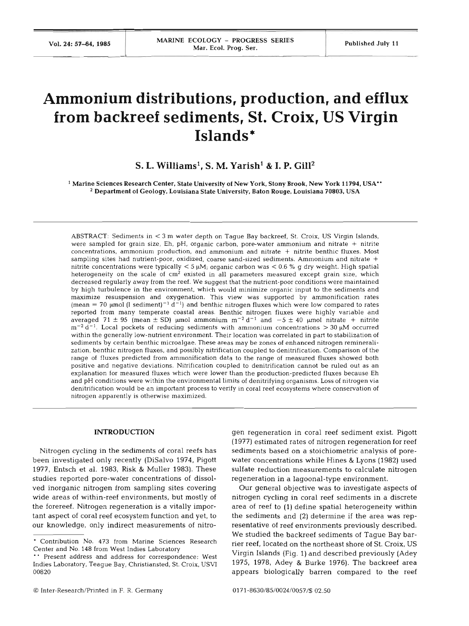# **Ammonium distributions, production, and efflux from backreef sediments, St. Croix, US Virgin Islands\***

## S. L. Williams<sup>1</sup>, S. M. Yarish<sup>1</sup> & I. P. Gill<sup>2</sup>

Marine Sciences Research Center, State University of New York. Stony Brook. New York **11794,** USA\*' Department of Geology, Louisiana State University, Baton Rouge, Louisiana **70803,** USA

ABSTRACT: Sediments in < **3** m water depth on Tague Bay backreef, St. Croix, US Virgin Islands, were sampled for grain size, Eh, pH, organic carbon, pore-water ammonium and nitrate + nitrite concentrations, ammonium production, and ammonium and nitrate + nitrite benthic fluxes. Most sampling sites had nutrient-poor, oxidized, coarse sand-sized sediments. Ammonium and nitrate + nitrite concentrations were typically  $<$  5  $\mu$ M<sub>i</sub> organic carbon was  $<$  0.6 % g dry weight. High spatial heterogeneity on the scale of  $cm<sup>2</sup>$  existed in all parameters measured except grain size, which decreased regularly away from the reef. We suggest that the nutrient-poor conditions were maintained by high turbulence in the environment, which would minimize organic input to the sediments and maximize resuspension and oxygenation. This view was supported by ammonification rates (mean = 70  $\mu$ mol (1 sediment)<sup>-1</sup> d<sup>-1</sup>) and benthic nitrogen fluxes which were low compared to rates reported from many temperate coastal areas. Benthic nitrogen fluxes were highly variable and averaged 71  $\pm$  95 (mean  $\pm$  SD) umol ammonium  $m^{-2}d^{-1}$  and  $-5 \pm 40$  umol nitrate + nitrite  $m^{-2} d^{-1}$ . Local pockets of reducing sediments with ammonium concentrations  $> 30 \mu M$  occurred within the generally low-nutrient environment. Their location was correlated in part to stabilization of sediments by certain benthic microalgae. These areas may be zones of enhanced nitrogen remineralization, benthic nitrogen fluxes, and possibly nitrification coupled to denitrification. Comparison of the range of fluxes predicted from ammonification data to the range of measured fluxes showed both positive and negative deviations. Nitrification coupled to denitrification cannot be ruled out as an explanation for measured fluxes which were lower than the production-predicted fluxes because Eh and pH conditions were within the environmental limits of denitrifying organisms. Loss of nitrogen via denitrification would be an important process to verify in coral reef ecosystems where conservation of nitrogen apparently is otherwise maximized.

#### **INTRODUCTION**

Nitrogen cycling in the sediments of coral reefs has been investigated only recently (DiSalvo 1974, Pigott 1977, Entsch et al. 1983, Risk & Muller 1983). These studies reported pore-water concentrations of dissolved inorganic nitrogen from sampling sites covering wide areas of within-reef environments, but mostly of the forereef. Nitrogen regeneration is a vitally important aspect of coral reef ecosystem function and yet, to our knowledge, only indirect measurements of nitro-

O Inter-Research/Printed in F. R. Germany

gen regeneration in coral reef sediment exist. Pigott (1977) estimated rates of nitrogen regeneration for reef sediments based on a stoichiometric analysis of porewater concentrations while Hines & Lyons (1982) used sulfate reduction measurements to calculate nitrogen regeneration in a lagoonal-type environment.

Our general objective was to investigate aspects of nitrogen cycling in coral reef sediments in a discrete area of reef to (1) define spatial heterogeneity within the sediments and **(2)** determine if the area was representative of reef environments previously described. We studied the backreef sediments of Tague Bay barrier reef, located on the northeast shore of St. Croix, US Virgin Islands (Fig. 1) and described previously (Adey 1975, 1978, Adey & Burke 1976). The backreef area appears biologically barren compared to the reef

Contribution No. 473 from Marine Sciences Research Center and No. 148 from West Indies Laboratory

<sup>&</sup>quot; Resent address and address for correspondence: West Indies Laboratory, Teague Bay, Christiansted, St. Croix, USVI 00820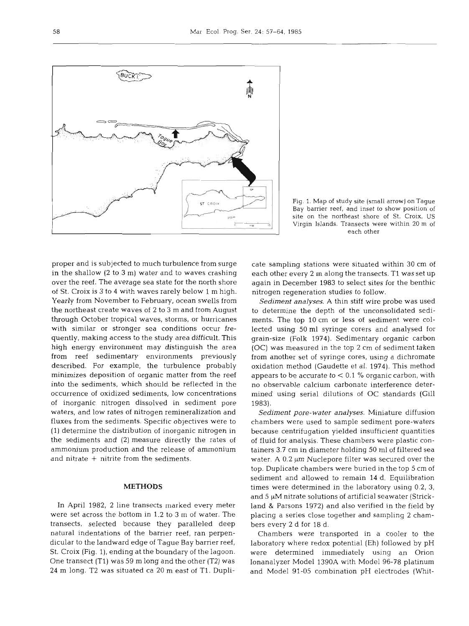

Fig. 1. Map of study site (small arrow) on Tague **Bay** barrier reef, and inset to show position of site on the northeast shore of St. Croix, US

proper and is subjected to much turbulence from surge in the shallow (2 to **3** m) water and to waves crashing over the reef. The average sea state for the north shore of St. Croix is 3 to 4 with waves rarely below 1 m high. Yearly from November to February, ocean swells from the northeast create waves of 2 to **3** m and from August through October tropical waves, storms, or hurricanes with similar or stronger sea conditions occur frequently, making access to the study area difficult. This high energy environment may distinguish the area from reef sedimentary environments previously described. For example, the turbulence probably minimizes deposition of organic matter from the reef into the sediments, which should be reflected in the occurrence of oxidized sediments, low concentrations of inorganic nitrogen dissolved in sediment pore waters, and low rates of nitrogen remineralization and fluxes from the sediments. Specific objectives were to (1) determine the distribution of inorganic nitrogen in the sediments and (2) measure directly the rates of ammonium production and the release of ammonium and nitrate  $+$  nitrite from the sediments.

### **METHODS**

In April 1982, 2 line transects marked every meter were set across the bottom in 1.2 to **3** m of water. The transects, selected because they paralleled deep natural indentations of the barrier reef, ran perpendicular to the landward edge of Tague Bay barrier reef, St. Croix (Fig. l), ending at the boundary of the lagoon. One transect (T1) was 59 m long and the other (T2) was 24 m long. T2 was situated ca 20 m east of T1. DupliVirgin Islands. Transects were within 20 m of<br>each other<br>cate sampling stations were situated within 30 cm of<br>each other every 2 m along the transects. T1 was set up<br>again in December 1983 to select sites for the benthic<br>n

*Sediment analyses.* A thin stiff wire probe was used<br>o determine the depth of the unconsolidated sedi-<br>nents. The top 10 cm or less of sediment were col-<br>ected using 50 ml syringe corers and analysed for<br>prain-size (Folk

*Sediment pore-water analyses.* Miniature diffusion<br>thambers were used to sample sediment pore-waters<br>because centrifugation yielded insufficient quantities<br>of fluid for analysis. These chambers were plastic con-<br>ainers 3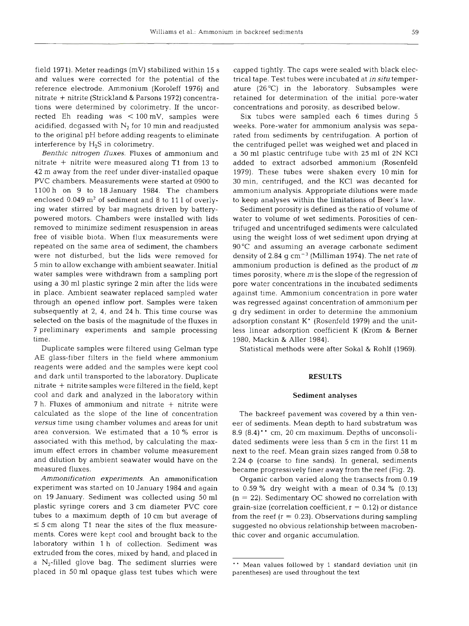field 1971). Meter readings (mV) stabilized within 15 s and values were corrected for the potential of the reference electrode. Ammonium (Koroleff 1976) and nitrate + nitrite (Strickland & Parsons 1972) concentrations were determined by colorimetry. If the uncorrected Eh reading was < 100 mV, samples were acidified, degassed with  $N_2$  for 10 min and readjusted to the original pH before adding reagents to eliminate interference by H,S in colorimetry.

*Benthic nitrogen fluxes.* Fluxes of ammonium and nitrate + nitrite were measured along T1 from 13 to 42 m away from the reef under diver-installed opaque PVC chambers. Measurements were started at 090 l100 h on 9 to 18 January 1984. The chambers enclosed  $0.049 \text{ m}^2$  of sediment and 8 to 11 l of overlying water stirred by bar magnets driven by batterypowered motors. Chambers were installed with lids removed to minimize sediment resuspension in areas free of visible biota. When flux measurements  $w$ repeated on the same area of sediment, the chambers were not disturbed, but the lids were removed for 5 min to allow exchange with ambient seawater. Initial water samples were withdrawn from a sampling port using a 30 m1 plastic syringe 2 min after the lids were in place. Ambient seawater replaced sampled water through an opened inflow port. Samples were taken subsequently at 2, 4, and 24 h. This time course was selected on the basis of the magnitude of the fluxes in 7 preliminary experiments and sample processing timbre. The set of the set of the set of the set of the set of the set of the set of the set of the set of the set of the set of the set of the set of the set of the set of the set of the set of the set of the set of the s

Duplicate samples were filtered using Gelman type AE glass-fiber filters in the field where ammonium reagents were added and the samples were kept cool and dark until transported to the laboratory. Duplicate nitrate  $+$  nitrite samples were filtered in the field, kept cool and dark and analyzed in the laboratory within  $7 h$ . Fluxes of ammonium and nitrate  $+$  nitrite w calculated as the slope of the line of concentration *versus* time using chamber volumes and areas for unit area conversion. We estimated that a 10  $\%$  erro associated with this method, by calculating the maximum effect errors in chamber volume measuren and dilution by ambient seawater would have on the measured flu:

*Ammonification experiments.* An ammonification experiment was started on 10 January 1984 and again on 19 January. Sediment was collected using 50 m1 plastic syringe corers and 3 cm diameter PVC core tubes to a maximum depth of 10 cm but average of  $\leq$  5 cm along T1 near the sites of the flux measurements. Cores were kept cool and brought back to the laboratory within l h of collection. Sediment was extruded from the cores, mixed by hand, and placed in a  $N_2$ -filled glove bag. The sediment slurries were placed in 50 m1 opaque glass test tubes which were

capped tightly. The caps were sealed with black electrical tape. Test tubes were incubated at *in situ* temperature (26°C) in the laboratory. Subsamples were retained for determination of the initial pore-water concentrations and porosity, as described below.

Six tubes were sampled each 6 times during 5 weeks. Pore-water for ammonium analysis was separated from sediments by centrifugation. A portion of the centrifuged pellet was weighed wet and placed in a 50 m1 plastic centrifuge tube with 25 m1 of 2N KC1 added to extract adsorbed ammonium (Rosenfeld 1979). These tubes were shaken every l0 min for 30 min, centrifuged, and the KC1 was decanted for ammonium analysis. Appropriate dilutions were made to keep analyses within the limitations of Beer's law.

Sediment porosity is defined as the ratio of volume of water to volume of wet sediments. Porosities of centrifuged and uncentrifuged sediments were calculated using the weight loss of wet sediment upon drying at 90°C and assuming an average carbonate sediment density of 2.84 g  $cm^{-3}$  (Milliman 1974). The net rate of ammonium production is defined as the product of *<sup>m</sup>* times porosity, where *m* is the slope of the regression of pore water concentrations in the incubated sediments against time. Ammonium concentration in pore water was regressed against concentration of ammonium per g dry sediment in order to determine the ammonium adsorption constant K' (Rosenfeld 1979) and the unitless linear adsorption coefficient K (Krom & Berner 1980, Mackin & Aller 1984).

Statistical methods were after Sokal & Rohlf (1969).

#### **RESULTS**

#### **Sediment analyses**

The backreef pavement was covered by a thin veneer of sediments. Mean depth to hard substratum was 8.9  $(8.4)$ <sup>\*\*</sup> cm, 20 cm maximum. Depths of unconsolidated sediments were less than  $5 \mathrm{cm}$  in the first  $1$ next to the reef. Mean grain sizes ranged from 0.58 to  $2.24 \phi$  (coarse to fine sands). In general, sediments became progressively finer away from the reef (Fig. 2).

Organic carbon varied along the transects from 0.19 to  $0.59\%$  dry weight with a mean of  $0.34\%$  (0.13)  $(n = 22)$ . Sedimentary OC showed no correlation with grain-size (correlation coefficient,  $r = 0.12$ ) or distance from the reef  $(r = 0.23)$ . Observations during sampling suggested no obvious relationship between macrobenthic cover and organic accumulation.

Mean values followed by 1 standard deviation unit (in parentheses) are used throughout the text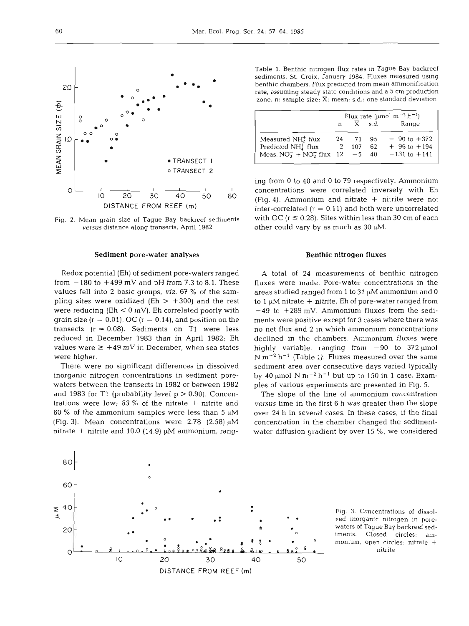

Fig. 2. Mean grain size of Tague Bay backreef sediments **versus** distance along transects, April **1982** 

#### Sediment pore-water analyses **Benthic nitrogen fluxes** Benthic nitrogen fluxes

Redox potential (Eh) of sediment pore-waters ranged from  $-180$  to  $+499$  mV and pH from 7.3 to 8.1. These values fell into 2 basic groups, **viz.** 67 % of the sampling sites were oxidized (Eh  $>$  +300) and the rest were reducing ( $Eh < 0$  mV). Eh correlated poorly with grain size ( $r = 0.01$ ), OC ( $r = 0.14$ ), and position on the transects  $(r = 0.08)$ . Sediments on T1 were less reduced in December 1983 than in April 1982; Eh values were  $\geq$  +49 mV in December, when sea states were higher.

There were no significant differences in dissolved inorganic nitrogen concentrations in sediment porewaters between the transects in 1982 or between 1982 and 1983 for T1 (probability level  $p > 0.90$ ). Concentrations were low; 83 % of the nitrate  $+$  nitrite and 60 % of the ammonium samples were less than 5  $\mu$ M (Fig. 3). Mean concentrations were 2.78 (2.58)  $\mu$ M nitrate  $+$  nitrite and 10.0 (14.9)  $\mu$ M ammonium, rangTable **1.** Benthic nitrogen flux rates in Tague Bay backreef sediments, St. Croix, January **1984.** Fluxes measured using benthic chambers. Flux predicted from mean ammonification rate, assuming steady state conditions and a 5 cm production zone. n: sample size;  $\overline{X}$ : mean; s.d.: one standard deviation

|                                 | Flux rate (µmol m <sup>-2</sup> h <sup>-1</sup> ) |      |      |                      |
|---------------------------------|---------------------------------------------------|------|------|----------------------|
|                                 |                                                   |      | s.d. | Range                |
| Measured $NH4+ flux$            | 24                                                | -71  | 95   | $-90$ to $+372$      |
| Predicted $NH4+ flux$           |                                                   | 107  | 62   | $+96$ to $+194$      |
| Meas. $NO_3^- + NO_2^-$ flux 12 |                                                   | $-5$ |      | $40 - 131$ to $+141$ |

ing from 0 to 40 and 0 to 79 respectively. Ammonium concentrations were correlated inversely with Eh (Fig. 4). Ammonium and nitrate  $+$  nitrite were not inter-correlated  $(r = 0.11)$  and both were uncorrelated with OC  $(r \le 0.28)$ . Sites within less than 30 cm of each other could vary by as much as  $30 \mu M$ .

A total of 24 measurements of benthic nitrogen<br>luxes were made. Pore-water concentrations in the<br>reas studied ranged from 1 to 31  $\mu$ M ammonium and 0<br>0 1  $\mu$ M nitrate + nitrite. Eh of pore-water ranged from<br>+49 to +289

**versus** time in the first 6 h was greater than the slope over 24 h in several cases. In these cases, if the final concentration in the chamber changed the sediment- water diffusion gradient by over 15 %, we considered



monium; open circles: nitrate +<br>nitrite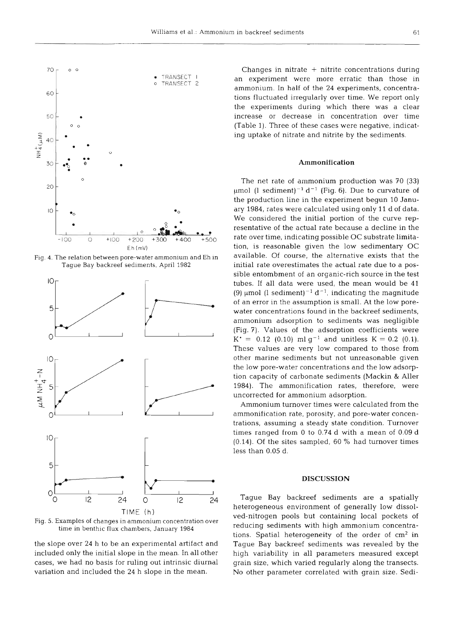

Fig. 4. The relation between pore-water ammonium and Eh in Tague Bay backreef sedlments, April 1982



TIME (h)

Fig. 5. Examples of changes in ammonium concentration over time in benthic flux chambers, January 1984

the slope over 24 h to be an experimental artifact and included only the initial slope in the mean. In all other cases, we had no basis for ruling out intrinsic diurnal variation and included the 24 h slope in the mean.

Changes in nitrate  $+$  nitrite concentrations during an experiment were more erratic than those in ammonium. In half of the 24 experiments, concentrations fluctuated irregularly over time. We report only the experiments during which there was a clear increase or decrease in concentration over time (Table 1). Three of these cases were negative, indicating uptake of nitrate and nitrite by the sediments.

#### **Arnmonification**

The net rate of ammonium production was 70 (33)  $\mu$ mol (1 sediment)<sup>-1</sup> d<sup>-1</sup> (Fig. 6). Due to curvature of the production line in the experiment begun 10 January 1984, rates were calculated using only 11 d of data. We considered the initial portion of the curve representative of the actual rate because a decline in the rate over time, indicating possible OC substrate limitation, is reasonable given the low sedimentary OC available. Of course, the alternative exists that the initial rate overestimates the actual rate due to a possible entombment of an organic-rich source in the test tubes. If all data were used, the mean would be 41 (9)  $\mu$ mol (1 sediment)<sup>-1</sup> d<sup>-1</sup>, indicating the magnitude of an error in the assumption is small. At the low porewater concentrations found in the backreef sediments, ammonium adsorption to sediments was negligible (Fig. 7). Values of the adsorption coefficients were  $K^* = 0.12$  (0.10) ml g<sup>-1</sup> and unitless  $K = 0.2$  (0.1). These values are very low compared to those from other marine sediments but not unreasonable given the low pore-water concentrations and the low adsorption capacity of carbonate sediments (Mackin & Aller 1984). The ammonification rates, therefore, were uncorrected for ammonium adsorption.

Ammonium turnover times were calculated from the ammonification rate, porosity, and pore-water concentrations, assuming a steady state condition. Turnover times ranged from 0 to 0.74 d with a mean of 0.09 d (0.14). Of the sites sampled, 60 % had turnover times less than 0.05 d.

#### **DISCUSSION**

Tague Bay backreef sediments are a spatially heterogeneous environment of generally low dissolved-nitrogen pools but containing local pockets of reducing sediments with high ammonium concentrations. Spatial heterogeneity of the order of  $cm<sup>2</sup>$  in Tague Bay backreef sediments was revealed by the high variability in all parameters measured except grain size, which varied regularly along the transects. No other parameter correlated with grain size. Sedi-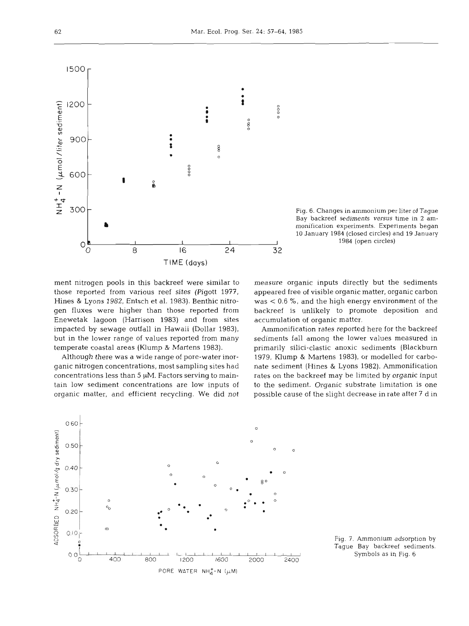

Fig. 6. Changes in ammonium per liter of Tague Bay backreef sediments *versus* time in **2** ammonification experiments. Experiments began 10 January 1984 (closed circles) and 19 January 1984 (open circles)

ment nitrogen pools in this backreef were similar to those reported from various reef sites (Pigott 1977, Hines & Lyons 1982, Entsch et al. 1983). Benthic nitrogen fluxes were higher than those reported from Enewetak lagoon (Harrison 1983) and from sites impacted by sewage outfall in Hawaii (Dollar 1983), but in the lower range of values reported from many temperate coastal areas (Klump & Martens 1983).

Although there was a wide range of pore-water inorganic nitrogen concentrations, most sampling sites had concentrations less than 5  $\mu$ M. Factors serving to maintain low sediment concentrations are low inputs of organic matter, and efficient recycling. We did not measure organic inputs directly but the sediments appeared free of visible organic matter, organic carbon was < 0.6 %, and the high energy environment of the backreef is unlikely to promote deposition and accumulation of organic matter.

Ammonification rates reported here for the backreef sediments fall among the lower values measured in primarily silici-clastic anoxic sediments (Blackburn 1979, Klump & Martens 1983), or modelled for carbonate sediment (Hines & Lyons 1982). Ammonification rates on the backreef may be limited by organic input to the sediment. Organic substrate limitation is one possible cause of the slight decrease in rate after 7 d in



Fig. 7. Ammonium adsorption by Tague Bay backreef sediments. Symbols as in Fig. 6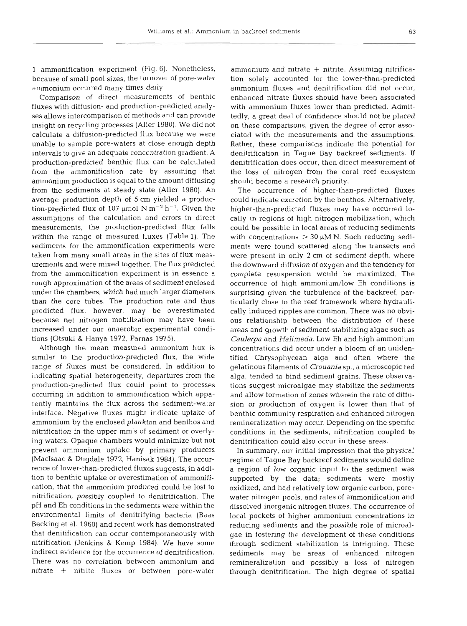1 ammonification experiment (Fig. 6). Nonetheless, because of small pool sizes, the turnover of pore-water ammonium occurred many times daily.

Comparison of direct measurements of benthic fluxes with diffusion- and production-predicted analyses allows intercomparison of methods and can provide insight on recycling processes (Aller 1980). We did not calculate a diffusion-predicted flux because we were unable to sample pore-waters at close enough depth intervals to give an adequate concentration gradient. **A**  production-predicted benthic flux can be calculated from the ammonification rate by assuming that ammonium production is equal to the amount diffusing from the sediments at steady state (Aller 1980). An average production depth of 5 cm yielded a production-predicted flux of 107  $\mu$ mol N  $m^{-2}$  h<sup>-1</sup>. Given the assumptions of the calculation and errors in direct measurements, the production-predicted flux falls within the range of measured fluxes (Table 1). The sediments for the ammonification experiments were taken from many small areas in the sites of flux measurements and were mixed together. The flux predicted from the ammonification experiment is in essence a rough approximation of the areas of sediment enclosed under the chambers, which had much larger diameters than the core tubes. The production rate and thus predicted flux, however, may be overestimated because net nitrogen mobilization may have been increased under our anaerobic experimental conditions (Otsuki & Hanya 1972, Parnas 1975).

Although the mean measured ammonium flux is similar to the production-predicted flux, the wide range of fluxes must be considered. In addition to indicating spatial heterogeneity, departures from the production-predicted flux could point to processes occurring in addition to ammonification which apparently maintains the flux across the sediment-water interface. Negative fluxes might indicate uptake of ammonium by the enclosed plankton and benthos and nitrification in the upper mm's of sediment or overlying waters. Opaque chambers would minimize but not prevent ammonium uptake by primary producers (MacIsaac & Dugdale 1972, Hanisak 1984). The occurrence of lower-than-predicted fluxes suggests, in addition to benthic uptake or overestimation of ammonification, that the ammonium produced could be lost to nitrification, possibly coupled to denitrification. The pH and Eh conditions in the sediments were within the environmental limits of denitrifying bacteria (Baas Becking et al. 1960) and recent work has demonstrated that denitification can occur contemporaneously with nitrification (Jenkins & Kemp 1984). We have some indirect evidence for the occurrence of denitrification. There was no correlation between ammonium and nitrate + nitrite fluxes or between pore-water

ammonium and nitrate + nitrite. Assuming nitrification solely accounted for the lower-than-predicted ammonium fluxes and denitrification did not occur, enhanced nitrate fluxes should have been associated with ammonium fluxes lower than predicted. Admittedly, a great deal of confidence should not be placed on these comparisons, given the degree of error associated with the measurements and the assumptions. Rather, these comparisons indicate the potential for denitrification in Tague Bay backreef sediments. If denitrification does occur, then direct measurement of the loss of nitrogen from the coral reef ecosystem should become a research priority.

The occurrence of higher-than-predicted fluxes could indicate excretion by the benthos. Alternatively, higher-than-predicted fluxes may have occurred locally in regions of high nitrogen mobilization, which could be possible in local areas of reducing sediments with concentrations  $> 30 \mu M N$ . Such reducing sediments were found scattered along the transects and were present in only 2 cm of sediment depth, where the downward diffusion of oxygen and the tendency for complete resuspension would be maximized. The occurrence of high ammonium/low Eh conditions is surprising given the turbulence of the backreef, particularly close to the reef framework where hydraulically induced ripples are common. There was no obvious relationship between the distribution of these areas and growth of sediment-stabilizing algae such as *Caulerpa* and *Halirneda.* Low Eh and high ammonium concentrations did occur under a bloom of an unidentified Chrysophycean alga and often where the gelatinous filaments of Crouania sp., a microscopic red alga, tended to bind sediment grains. These observations suggest microalgae may stabilize the sediments and allow formation of zones wherein the rate of diffusion or production of oxygen is lower than that of benthic community respiration and enhanced nitrogen remineralization may occur. Depending on the specific conditions in the sediments, nitrification coupled to denitrification could also occur in these areas.

In summary, our initial impression that the physical regime of Tague Bay backreef sediments would define a region of low organic input to the sediment was supported by the data; sediments were mostly oxidized, and had relatively low organic carbon, porewater nitrogen pools, and rates of ammonification and dissolved inorganic nitrogen fluxes. The occurrence of local pockets of higher ammonium concentrations in reducing sediments and the possible role of microalgae in fostering the development of these conditions through sediment stabilization is intriguing. These sediments may be areas of enhanced nitrogen remineralization and possibly a loss of nitrogen through denitrification. The high degree of spatial